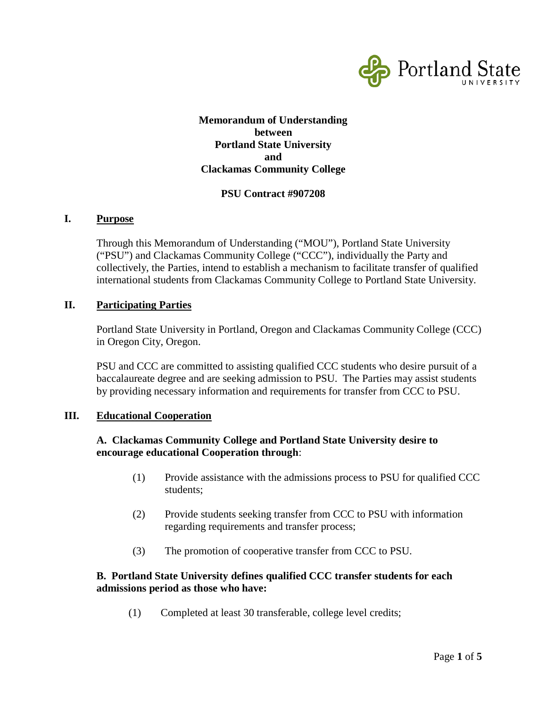

## **Memorandum of Understanding between Portland State University and Clackamas Community College**

#### **PSU Contract #907208**

#### **I. Purpose**

Through this Memorandum of Understanding ("MOU"), Portland State University ("PSU") and Clackamas Community College ("CCC"), individually the Party and collectively, the Parties, intend to establish a mechanism to facilitate transfer of qualified international students from Clackamas Community College to Portland State University.

#### **II. Participating Parties**

Portland State University in Portland, Oregon and Clackamas Community College (CCC) in Oregon City, Oregon.

PSU and CCC are committed to assisting qualified CCC students who desire pursuit of a baccalaureate degree and are seeking admission to PSU. The Parties may assist students by providing necessary information and requirements for transfer from CCC to PSU.

#### **III. Educational Cooperation**

### **A. Clackamas Community College and Portland State University desire to encourage educational Cooperation through**:

- (1) Provide assistance with the admissions process to PSU for qualified CCC students;
- (2) Provide students seeking transfer from CCC to PSU with information regarding requirements and transfer process;
- (3) The promotion of cooperative transfer from CCC to PSU.

## **B. Portland State University defines qualified CCC transfer students for each admissions period as those who have:**

(1) Completed at least 30 transferable, college level credits;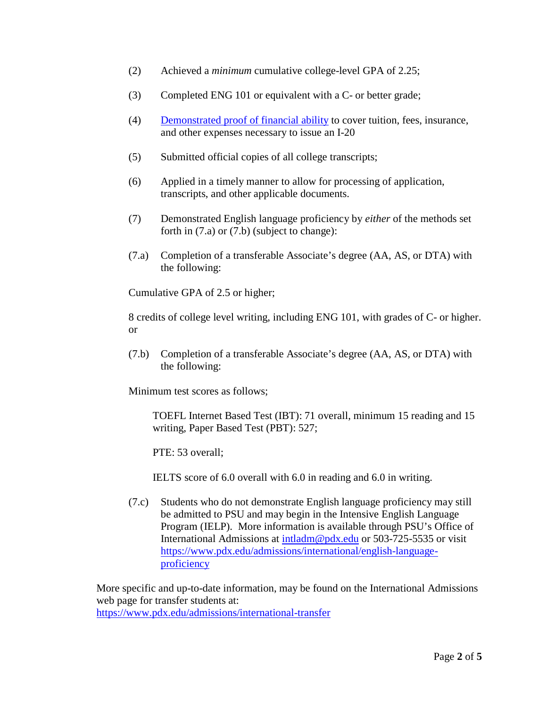- (2) Achieved a *minimum* cumulative college-level GPA of 2.25;
- (3) Completed ENG 101 or equivalent with a C- or better grade;
- (4) [Demonstrated proof of financial ability](https://www.pdx.edu/undergraduate-admissions/international/financial-documentation) to cover tuition, fees, insurance, and other expenses necessary to issue an I-20
- (5) Submitted official copies of all college transcripts;
- (6) Applied in a timely manner to allow for processing of application, transcripts, and other applicable documents.
- (7) Demonstrated English language proficiency by *either* of the methods set forth in (7.a) or (7.b) (subject to change):
- (7.a) Completion of a transferable Associate's degree (AA, AS, or DTA) with the following:

Cumulative GPA of 2.5 or higher;

8 credits of college level writing, including ENG 101, with grades of C- or higher. or

(7.b) Completion of a transferable Associate's degree (AA, AS, or DTA) with the following:

Minimum test scores as follows;

TOEFL Internet Based Test (IBT): 71 overall, minimum 15 reading and 15 writing, Paper Based Test (PBT): 527;

PTE: 53 overall:

IELTS score of 6.0 overall with 6.0 in reading and 6.0 in writing.

(7.c) Students who do not demonstrate English language proficiency may still be admitted to PSU and may begin in the Intensive English Language Program (IELP). More information is available through PSU's Office of International Admissions at [intladm@pdx.edu](mailto:intladm@pdx.edu) or 503-725-5535 or visit [https://www.pdx.edu/admissions/international/english-language](https://www.pdx.edu/admissions/international/english-language-proficiency)[proficiency](https://www.pdx.edu/admissions/international/english-language-proficiency)

More specific and up-to-date information, may be found on the International Admissions web page for transfer students at:

<https://www.pdx.edu/admissions/international-transfer>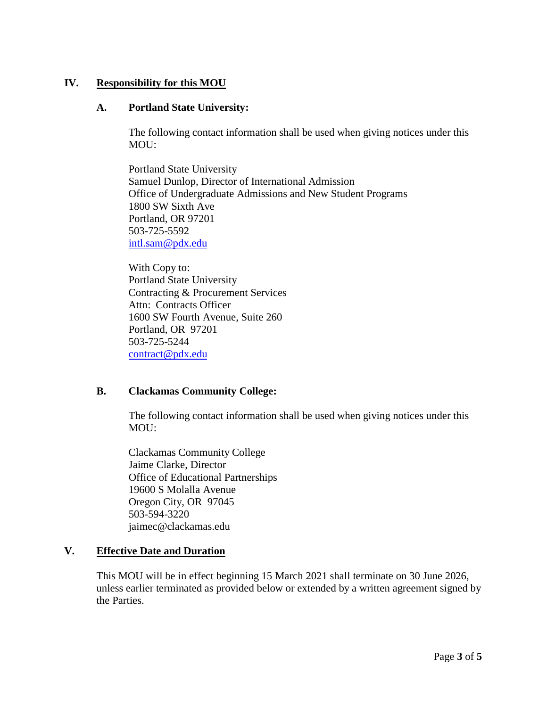## **IV. Responsibility for this MOU**

#### **A. Portland State University:**

The following contact information shall be used when giving notices under this MOU:

Portland State University Samuel Dunlop, Director of International Admission Office of Undergraduate Admissions and New Student Programs 1800 SW Sixth Ave Portland, OR 97201 503-725-5592 [intl.sam@pdx.edu](mailto:intl.sam@pdx.edu)

With Copy to: Portland State University Contracting & Procurement Services Attn: Contracts Officer 1600 SW Fourth Avenue, Suite 260 Portland, OR 97201 503-725-5244 [contract@pdx.edu](mailto:contract@pdx.edu)

## **B. Clackamas Community College:**

The following contact information shall be used when giving notices under this MOU:

Clackamas Community College Jaime Clarke, Director Office of Educational Partnerships 19600 S Molalla Avenue Oregon City, OR 97045 503-594-3220 jaimec@clackamas.edu

## **V. Effective Date and Duration**

This MOU will be in effect beginning 15 March 2021 shall terminate on 30 June 2026, unless earlier terminated as provided below or extended by a written agreement signed by the Parties.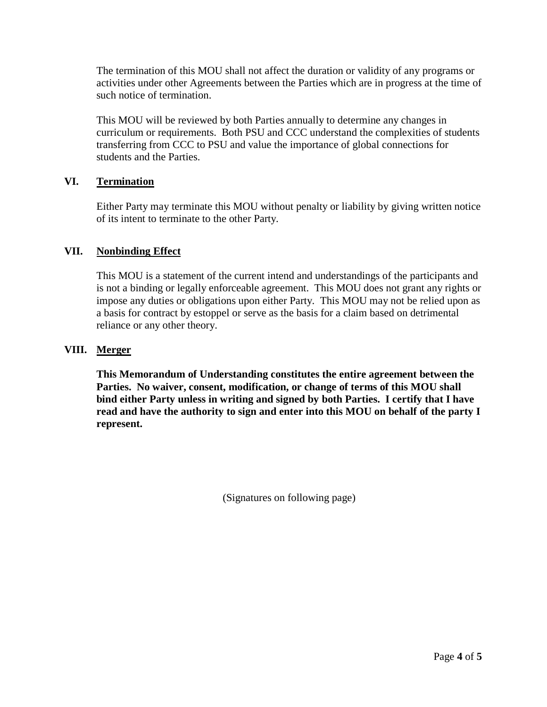The termination of this MOU shall not affect the duration or validity of any programs or activities under other Agreements between the Parties which are in progress at the time of such notice of termination.

This MOU will be reviewed by both Parties annually to determine any changes in curriculum or requirements. Both PSU and CCC understand the complexities of students transferring from CCC to PSU and value the importance of global connections for students and the Parties.

## **VI. Termination**

Either Party may terminate this MOU without penalty or liability by giving written notice of its intent to terminate to the other Party.

## **VII. Nonbinding Effect**

This MOU is a statement of the current intend and understandings of the participants and is not a binding or legally enforceable agreement. This MOU does not grant any rights or impose any duties or obligations upon either Party. This MOU may not be relied upon as a basis for contract by estoppel or serve as the basis for a claim based on detrimental reliance or any other theory.

# **VIII. Merger**

**This Memorandum of Understanding constitutes the entire agreement between the Parties. No waiver, consent, modification, or change of terms of this MOU shall bind either Party unless in writing and signed by both Parties. I certify that I have read and have the authority to sign and enter into this MOU on behalf of the party I represent.**

(Signatures on following page)